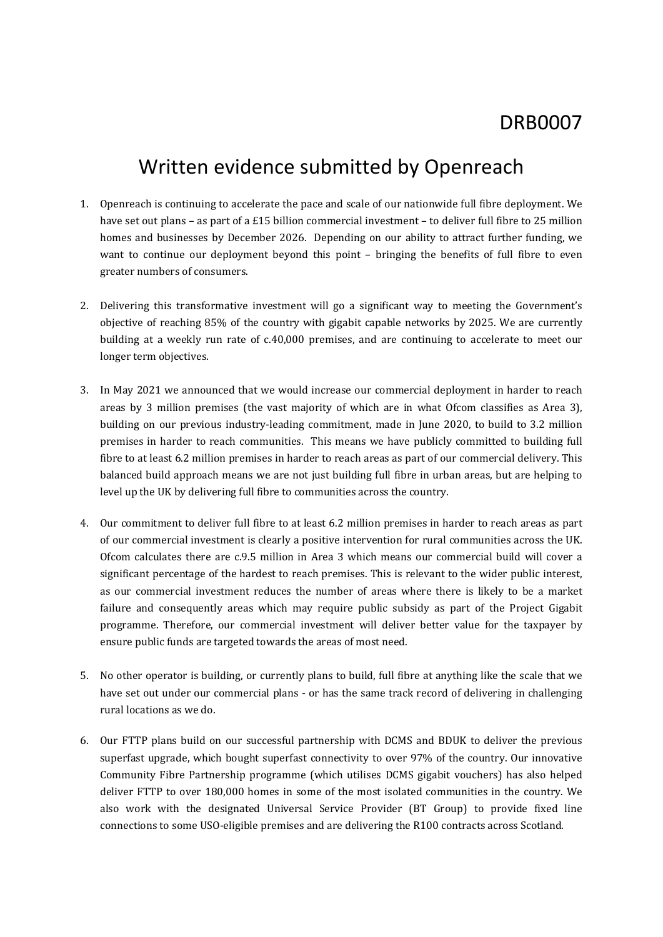# Written evidence submitted by Openreach

- 1. Openreach is continuing to accelerate the pace and scale of our nationwide full fibre deployment. We have set out plans – as part of a £15 billion commercial investment – to deliver full fibre to 25 million homes and businesses by December 2026. Depending on our ability to attract further funding, we want to continue our deployment beyond this point – bringing the benefits of full fibre to even greater numbers of consumers.
- 2. Delivering this transformative investment will go a significant way to meeting the Government's objective of reaching 85% of the country with gigabit capable networks by 2025. We are currently building at a weekly run rate of c.40,000 premises, and are continuing to accelerate to meet our longer term objectives.
- 3. In May 2021 we announced that we would increase our commercial deployment in harder to reach areas by 3 million premises (the vast majority of which are in what Ofcom classifies as Area 3), building on our previous industry-leading commitment, made in June 2020, to build to 3.2 million premises in harder to reach communities. This means we have publicly committed to building full fibre to at least 6.2 million premises in harder to reach areas as part of our commercial delivery. This balanced build approach means we are not just building full fibre in urban areas, but are helping to level up the UK by delivering full fibre to communities across the country.
- 4. Our commitment to deliver full fibre to at least 6.2 million premises in harder to reach areas as part of our commercial investment is clearly a positive intervention for rural communities across the UK. Ofcom calculates there are c.9.5 million in Area 3 which means our commercial build will cover a significant percentage of the hardest to reach premises. This is relevant to the wider public interest, as our commercial investment reduces the number of areas where there is likely to be a market failure and consequently areas which may require public subsidy as part of the Project Gigabit programme. Therefore, our commercial investment will deliver better value for the taxpayer by ensure public funds are targeted towards the areas of most need.
- 5. No other operator is building, or currently plans to build, full fibre at anything like the scale that we have set out under our commercial plans - or has the same track record of delivering in challenging rural locations as we do.
- 6. Our FTTP plans build on our successful partnership with DCMS and BDUK to deliver the previous superfast upgrade, which bought superfast connectivity to over 97% of the country. Our innovative Community Fibre Partnership programme (which utilises DCMS gigabit vouchers) has also helped deliver FTTP to over 180,000 homes in some of the most isolated communities in the country. We also work with the designated Universal Service Provider (BT Group) to provide fixed line connections to some USO-eligible premises and are delivering the R100 contracts across Scotland.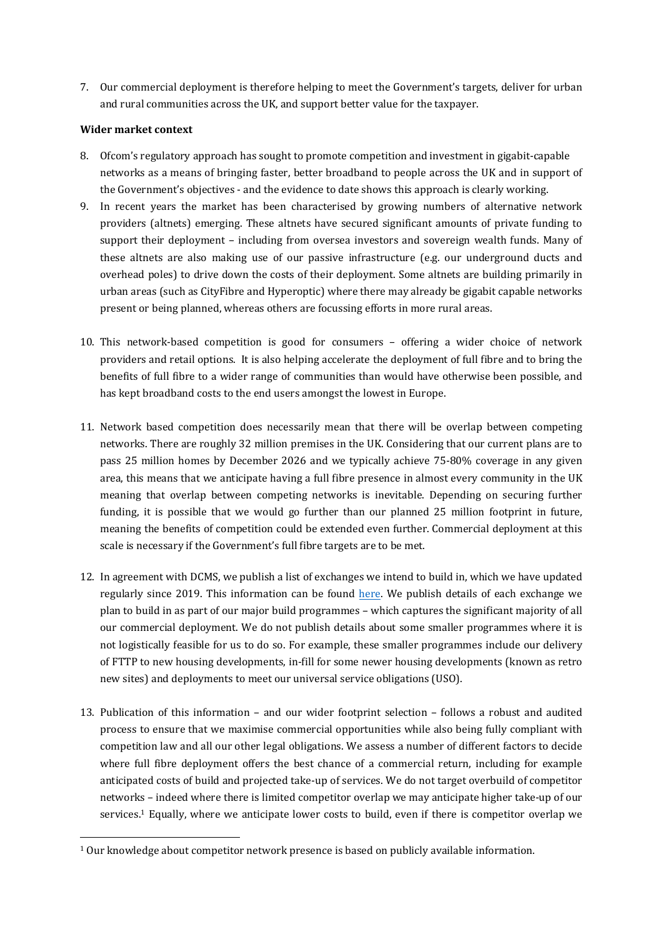7. Our commercial deployment is therefore helping to meet the Government's targets, deliver for urban and rural communities across the UK, and support better value for the taxpayer.

### **Wider market context**

- 8. Ofcom's regulatory approach has sought to promote competition and investment in gigabit-capable networks as a means of bringing faster, better broadband to people across the UK and in support of the Government's objectives - and the evidence to date shows this approach is clearly working.
- 9. In recent years the market has been characterised by growing numbers of alternative network providers (altnets) emerging. These altnets have secured significant amounts of private funding to support their deployment – including from oversea investors and sovereign wealth funds. Many of these altnets are also making use of our passive infrastructure (e.g. our underground ducts and overhead poles) to drive down the costs of their deployment. Some altnets are building primarily in urban areas (such as CityFibre and Hyperoptic) where there may already be gigabit capable networks present or being planned, whereas others are focussing efforts in more rural areas.
- 10. This network-based competition is good for consumers offering a wider choice of network providers and retail options. It is also helping accelerate the deployment of full fibre and to bring the benefits of full fibre to a wider range of communities than would have otherwise been possible, and has kept broadband costs to the end users amongst the lowest in Europe.
- 11. Network based competition does necessarily mean that there will be overlap between competing networks. There are roughly 32 million premises in the UK. Considering that our current plans are to pass 25 million homes by December 2026 and we typically achieve 75-80% coverage in any given area, this means that we anticipate having a full fibre presence in almost every community in the UK meaning that overlap between competing networks is inevitable. Depending on securing further funding, it is possible that we would go further than our planned 25 million footprint in future, meaning the benefits of competition could be extended even further. Commercial deployment at this scale is necessary if the Government's full fibre targets are to be met.
- 12. In agreement with DCMS, we publish a list of exchanges we intend to build in, which we have updated regularly since 2019. This information can be found [here](https://www.openreach.com/fibre-broadband/where-when-building-ultrafast-full-fibre-broadband). We publish details of each exchange we plan to build in as part of our major build programmes – which captures the significant majority of all our commercial deployment. We do not publish details about some smaller programmes where it is not logistically feasible for us to do so. For example, these smaller programmes include our delivery of FTTP to new housing developments, in-fill for some newer housing developments (known as retro new sites) and deployments to meet our universal service obligations (USO).
- 13. Publication of this information and our wider footprint selection follows a robust and audited process to ensure that we maximise commercial opportunities while also being fully compliant with competition law and all our other legal obligations. We assess a number of different factors to decide where full fibre deployment offers the best chance of a commercial return, including for example anticipated costs of build and projected take-up of services. We do not target overbuild of competitor networks – indeed where there is limited competitor overlap we may anticipate higher take-up of our services.<sup>1</sup> Equally, where we anticipate lower costs to build, even if there is competitor overlap we

 $1$  Our knowledge about competitor network presence is based on publicly available information.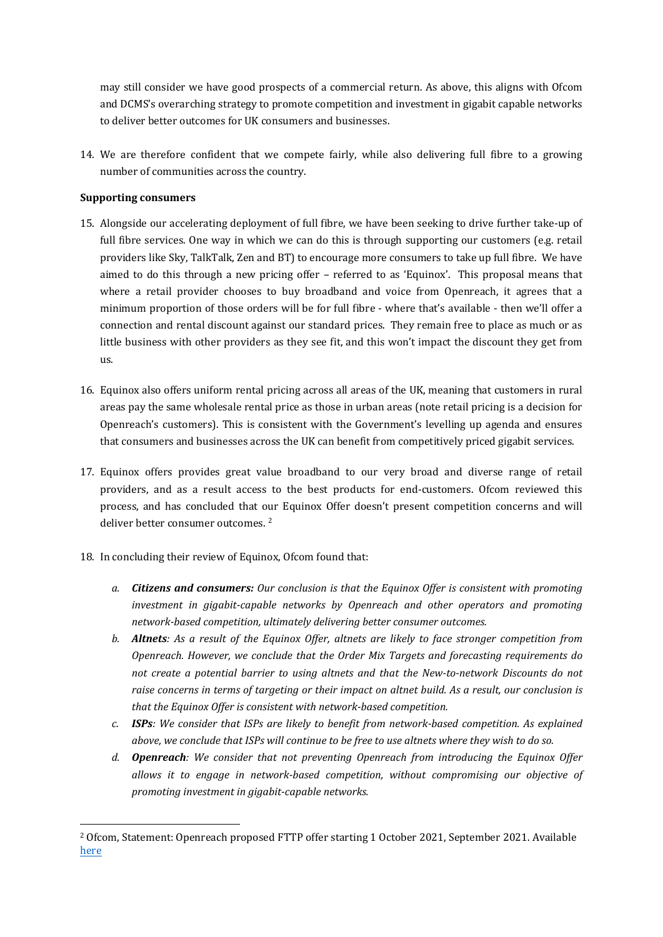may still consider we have good prospects of a commercial return. As above, this aligns with Ofcom and DCMS's overarching strategy to promote competition and investment in gigabit capable networks to deliver better outcomes for UK consumers and businesses.

14. We are therefore confident that we compete fairly, while also delivering full fibre to a growing number of communities across the country.

## **Supporting consumers**

- 15. Alongside our accelerating deployment of full fibre, we have been seeking to drive further take-up of full fibre services. One way in which we can do this is through supporting our customers (e.g. retail providers like Sky, TalkTalk, Zen and BT) to encourage more consumers to take up full fibre. We have aimed to do this through a new pricing offer – referred to as 'Equinox'. This proposal means that where a retail provider chooses to buy broadband and voice from Openreach, it agrees that a minimum proportion of those orders will be for full fibre - where that's available - then we'll offer a connection and rental discount against our standard prices. They remain free to place as much or as little business with other providers as they see fit, and this won't impact the discount they get from us.
- 16. Equinox also offers uniform rental pricing across all areas of the UK, meaning that customers in rural areas pay the same wholesale rental price as those in urban areas (note retail pricing is a decision for Openreach's customers). This is consistent with the Government's levelling up agenda and ensures that consumers and businesses across the UK can benefit from competitively priced gigabit services.
- 17. Equinox offers provides great value broadband to our very broad and diverse range of retail providers, and as a result access to the best products for end-customers. Ofcom reviewed this process, and has concluded that our Equinox Offer doesn't present competition concerns and will deliver better consumer outcomes.<sup>2</sup>
- 18. In concluding their review of Equinox, Ofcom found that:
	- *a. Citizens and consumers: Our conclusion is that the Equinox Offer is consistent with promoting investment in gigabit-capable networks by Openreach and other operators and promoting network-based competition, ultimately delivering better consumer outcomes.*
	- *b. Altnets: As a result of the Equinox Offer, altnets are likely to face stronger competition from Openreach. However, we conclude that the Order Mix Targets and forecasting requirements do not create a potential barrier to using altnets and that the New-to-network Discounts do not* raise concerns in terms of targeting or their impact on altnet build. As a result, our conclusion is *that the Equinox Offer is consistent with network-based competition.*
	- *c. ISPs: We consider that ISPs are likely to benefit from network-based competition. As explained* above, we conclude that ISPs will continue to be free to use altnets where they wish to do so.
	- *d. Openreach: We consider that not preventing Openreach from introducing the Equinox Offer allows it to engage in network-based competition, without compromising our objective of promoting investment in gigabit-capable networks.*

<sup>2</sup> Ofcom, Statement: Openreach proposed FTTP offer starting 1 October 2021, September 2021. Available [here](https://www.ofcom.org.uk/consultations-and-statements/category-3/openreach-proposed-fttp-offer)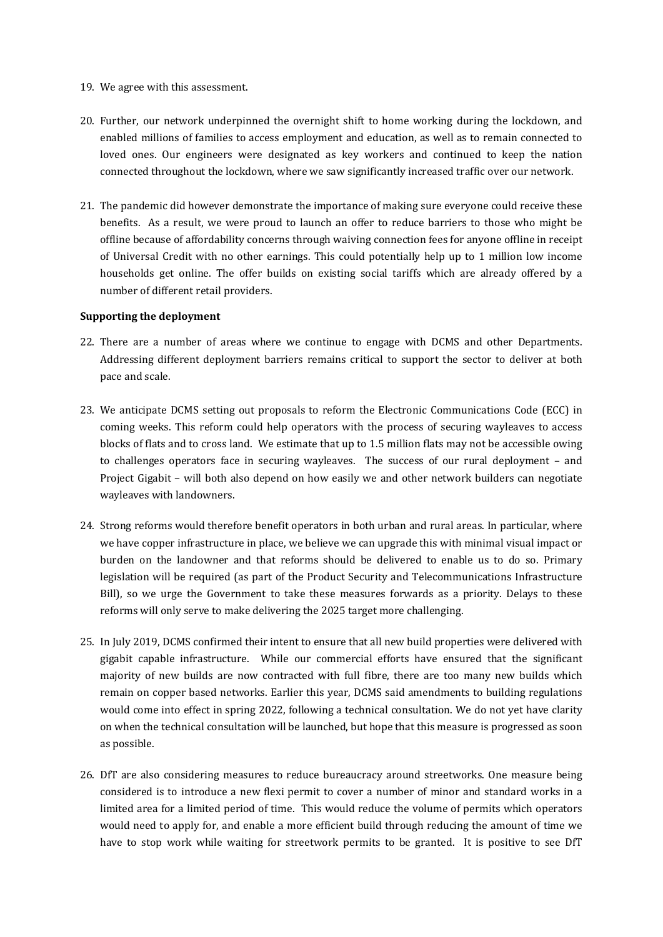- 19. We agree with this assessment.
- 20. Further, our network underpinned the overnight shift to home working during the lockdown, and enabled millions of families to access employment and education, as well as to remain connected to loved ones. Our engineers were designated as key workers and continued to keep the nation connected throughout the lockdown, where we saw significantly increased traffic over our network.
- 21. The pandemic did however demonstrate the importance of making sure everyone could receive these benefits. As a result, we were proud to launch an offer to reduce barriers to those who might be offline because of affordability concerns through waiving connection fees for anyone offline in receipt of Universal Credit with no other earnings. This could potentially help up to 1 million low income households get online. The offer builds on existing social tariffs which are already offered by a number of different retail providers.

### **Supporting the deployment**

- 22. There are a number of areas where we continue to engage with DCMS and other Departments. Addressing different deployment barriers remains critical to support the sector to deliver at both pace and scale.
- 23. We anticipate DCMS setting out proposals to reform the Electronic Communications Code (ECC) in coming weeks. This reform could help operators with the process of securing wayleaves to access blocks of flats and to cross land. We estimate that up to 1.5 million flats may not be accessible owing to challenges operators face in securing wayleaves. The success of our rural deployment – and Project Gigabit – will both also depend on how easily we and other network builders can negotiate wayleaves with landowners.
- 24. Strong reforms would therefore benefit operators in both urban and rural areas. In particular, where we have copper infrastructure in place, we believe we can upgrade this with minimal visual impact or burden on the landowner and that reforms should be delivered to enable us to do so. Primary legislation will be required (as part of the Product Security and Telecommunications Infrastructure Bill), so we urge the Government to take these measures forwards as a priority. Delays to these reforms will only serve to make delivering the 2025 target more challenging.
- 25. In July 2019, DCMS confirmed their intent to ensure that all new build properties were delivered with gigabit capable infrastructure. While our commercial efforts have ensured that the significant majority of new builds are now contracted with full fibre, there are too many new builds which remain on copper based networks. Earlier this year, DCMS said amendments to building regulations would come into effect in spring 2022, following a technical consultation. We do not yet have clarity on when the technical consultation will be launched, but hope that this measure is progressed as soon as possible.
- 26. DfT are also considering measures to reduce bureaucracy around streetworks. One measure being considered is to introduce a new flexi permit to cover a number of minor and standard works in a limited area for a limited period of time. This would reduce the volume of permits which operators would need to apply for, and enable a more efficient build through reducing the amount of time we have to stop work while waiting for streetwork permits to be granted. It is positive to see DfT